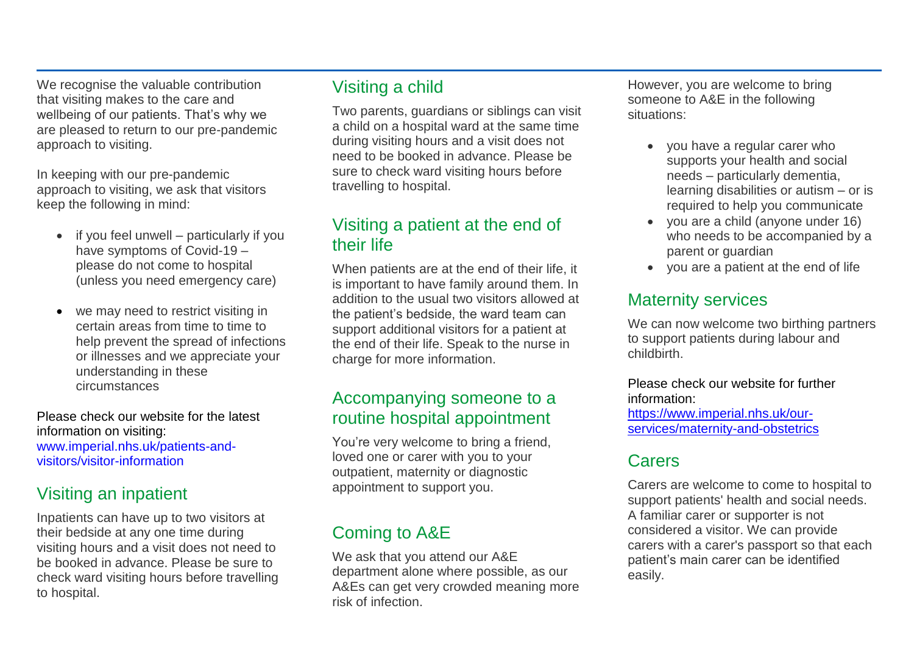We recognise the valuable contribution that visiting makes to the care and wellbeing of our patients. That's why we are pleased to return to our pre-pandemic approach to visiting.

In keeping with our pre-pandemic approach to visiting, we ask that visitors keep the following in mind:

- if you feel unwell particularly if you have symptoms of Covid-19 – please do not come to hospital (unless you need emergency care)
- we may need to restrict visiting in certain areas from time to time to help prevent the spread of infections or illnesses and we appreciate your understanding in these circumstances

Please check our website for the latest information on visiting: [www.imperial.nhs.uk/patients-and](http://www.imperial.nhs.uk/patients-and-visitors/visitor-information)[visitors/visitor-information](http://www.imperial.nhs.uk/patients-and-visitors/visitor-information)

# Visiting an inpatient

Inpatients can have up to two visitors at their bedside at any one time during visiting hours and a visit does not need to be booked in advance. Please be sure to check ward visiting hours before travelling to hospital.

# Visiting a child

Two parents, guardians or siblings can visit a child on a hospital ward at the same time during visiting hours and a visit does not need to be booked in advance. Please be sure to check ward visiting hours before travelling to hospital.

## Visiting a patient at the end of their life

When patients are at the end of their life, it is important to have family around them. In addition to the usual two visitors allowed at the patient's bedside, the ward team can support additional visitors for a patient at the end of their life. Speak to the nurse in charge for more information.

## Accompanying someone to a routine hospital appointment

You're very welcome to bring a friend, loved one or carer with you to your outpatient, maternity or diagnostic appointment to support you.

# Coming to A&E

We ask that you attend our A&E department alone where possible, as our A&Es can get very crowded meaning more risk of infection.

However, you are welcome to bring someone to A&E in the following situations:

- you have a regular carer who supports your health and social needs – particularly dementia, learning disabilities or autism – or is required to help you communicate
- you are a child (anyone under 16) who needs to be accompanied by a parent or guardian
- you are a patient at the end of life

# Maternity services

We can now welcome two birthing partners to support patients during labour and childbirth.

#### Please check our website for further information: [https://www.imperial.nhs.uk/our-](https://www.imperial.nhs.uk/our-services/maternity-and-obstetrics)

[services/maternity-and-obstetrics](https://www.imperial.nhs.uk/our-services/maternity-and-obstetrics)

# **Carers**

Carers are welcome to come to hospital to support patients' health and social needs. A familiar carer or supporter is not considered a visitor. We can provide carers with a carer's passport so that each patient's main carer can be identified easily.